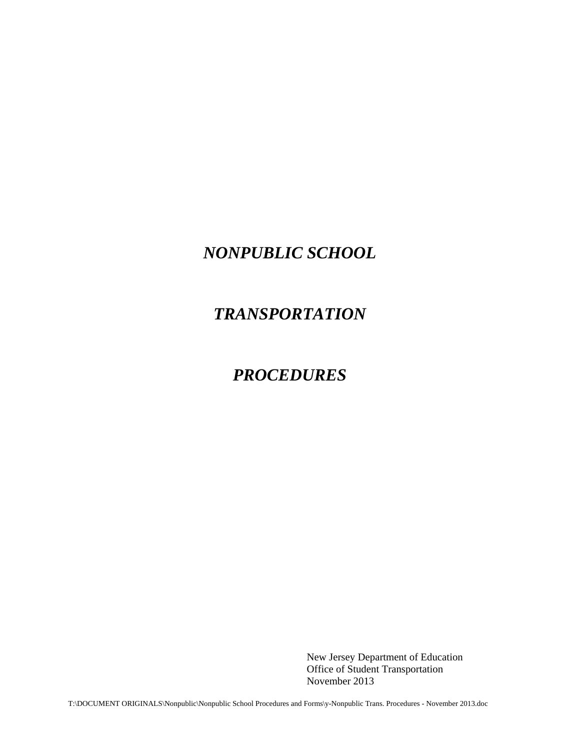# *NONPUBLIC SCHOOL*

# *TRANSPORTATION*

## *PROCEDURES*

New Jersey Department of Education Office of Student Transportation November 2013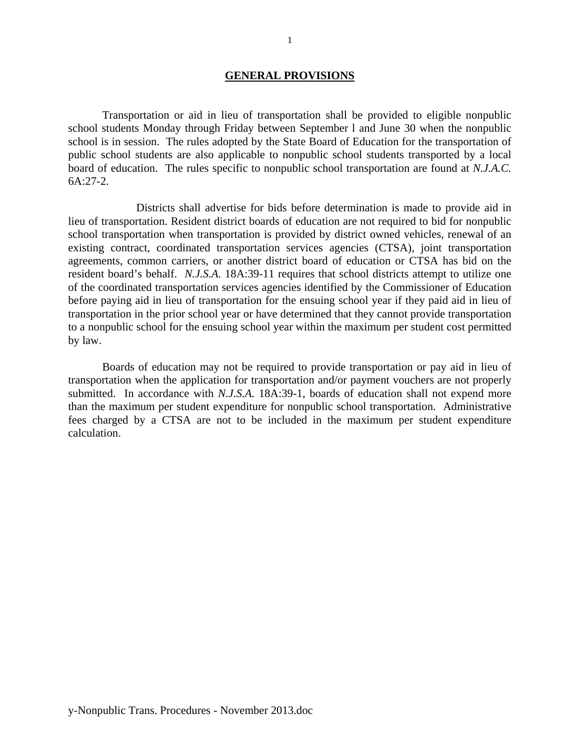### **GENERAL PROVISIONS**

 Transportation or aid in lieu of transportation shall be provided to eligible nonpublic school students Monday through Friday between September l and June 30 when the nonpublic school is in session. The rules adopted by the State Board of Education for the transportation of public school students are also applicable to nonpublic school students transported by a local board of education. The rules specific to nonpublic school transportation are found at *N.J.A.C.* 6A:27-2.

 Districts shall advertise for bids before determination is made to provide aid in lieu of transportation. Resident district boards of education are not required to bid for nonpublic school transportation when transportation is provided by district owned vehicles, renewal of an existing contract, coordinated transportation services agencies (CTSA), joint transportation agreements, common carriers, or another district board of education or CTSA has bid on the resident board's behalf. *N.J.S.A.* 18A:39-11 requires that school districts attempt to utilize one of the coordinated transportation services agencies identified by the Commissioner of Education before paying aid in lieu of transportation for the ensuing school year if they paid aid in lieu of transportation in the prior school year or have determined that they cannot provide transportation to a nonpublic school for the ensuing school year within the maximum per student cost permitted by law.

Boards of education may not be required to provide transportation or pay aid in lieu of transportation when the application for transportation and/or payment vouchers are not properly submitted. In accordance with *N.J.S.A.* 18A:39-1, boards of education shall not expend more than the maximum per student expenditure for nonpublic school transportation. Administrative fees charged by a CTSA are not to be included in the maximum per student expenditure calculation.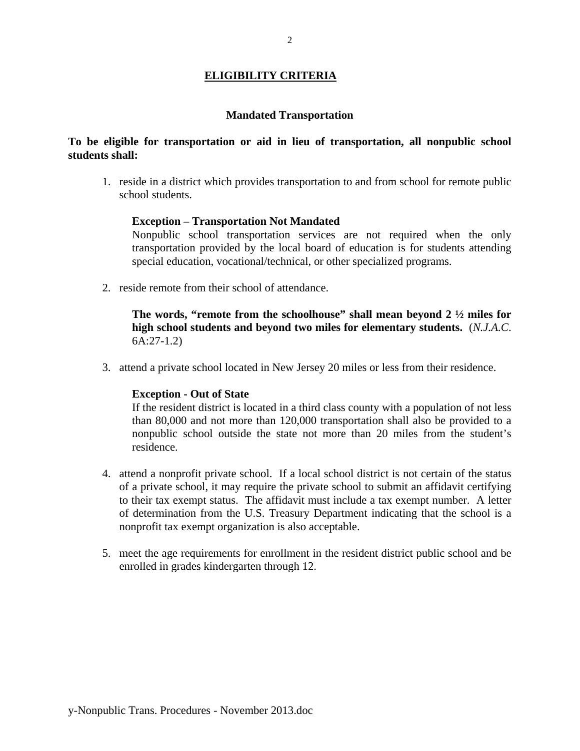### **ELIGIBILITY CRITERIA**

### **Mandated Transportation**

### **To be eligible for transportation or aid in lieu of transportation, all nonpublic school students shall:**

1. reside in a district which provides transportation to and from school for remote public school students.

### **Exception – Transportation Not Mandated**

Nonpublic school transportation services are not required when the only transportation provided by the local board of education is for students attending special education, vocational/technical, or other specialized programs.

2. reside remote from their school of attendance.

**The words, "remote from the schoolhouse" shall mean beyond 2 ½ miles for high school students and beyond two miles for elementary students.** (*N.J.A.C*. 6A:27-1.2)

3. attend a private school located in New Jersey 20 miles or less from their residence.

### **Exception - Out of State**

If the resident district is located in a third class county with a population of not less than 80,000 and not more than 120,000 transportation shall also be provided to a nonpublic school outside the state not more than 20 miles from the student's residence.

- 4. attend a nonprofit private school. If a local school district is not certain of the status of a private school, it may require the private school to submit an affidavit certifying to their tax exempt status. The affidavit must include a tax exempt number. A letter of determination from the U.S. Treasury Department indicating that the school is a nonprofit tax exempt organization is also acceptable.
- 5. meet the age requirements for enrollment in the resident district public school and be enrolled in grades kindergarten through 12.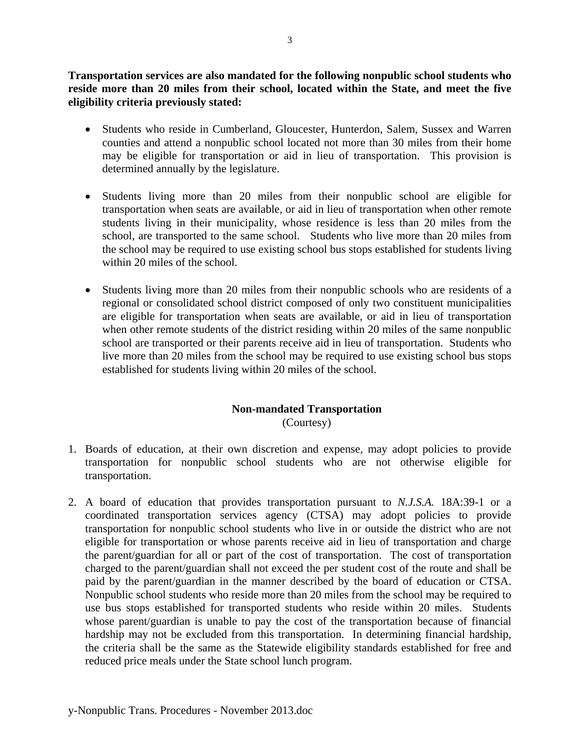**Transportation services are also mandated for the following nonpublic school students who reside more than 20 miles from their school, located within the State, and meet the five eligibility criteria previously stated:** 

- Students who reside in Cumberland, Gloucester, Hunterdon, Salem, Sussex and Warren counties and attend a nonpublic school located not more than 30 miles from their home may be eligible for transportation or aid in lieu of transportation. This provision is determined annually by the legislature.
- Students living more than 20 miles from their nonpublic school are eligible for transportation when seats are available, or aid in lieu of transportation when other remote students living in their municipality, whose residence is less than 20 miles from the school, are transported to the same school. Students who live more than 20 miles from the school may be required to use existing school bus stops established for students living within 20 miles of the school.
- Students living more than 20 miles from their nonpublic schools who are residents of a regional or consolidated school district composed of only two constituent municipalities are eligible for transportation when seats are available, or aid in lieu of transportation when other remote students of the district residing within 20 miles of the same nonpublic school are transported or their parents receive aid in lieu of transportation. Students who live more than 20 miles from the school may be required to use existing school bus stops established for students living within 20 miles of the school.

# **Non-mandated Transportation**

(Courtesy)

- 1. Boards of education, at their own discretion and expense, may adopt policies to provide transportation for nonpublic school students who are not otherwise eligible for transportation.
- 2. A board of education that provides transportation pursuant to *N.J.S.A.* 18A:39-1 or a coordinated transportation services agency (CTSA) may adopt policies to provide transportation for nonpublic school students who live in or outside the district who are not eligible for transportation or whose parents receive aid in lieu of transportation and charge the parent/guardian for all or part of the cost of transportation. The cost of transportation charged to the parent/guardian shall not exceed the per student cost of the route and shall be paid by the parent/guardian in the manner described by the board of education or CTSA. Nonpublic school students who reside more than 20 miles from the school may be required to use bus stops established for transported students who reside within 20 miles. Students whose parent/guardian is unable to pay the cost of the transportation because of financial hardship may not be excluded from this transportation. In determining financial hardship, the criteria shall be the same as the Statewide eligibility standards established for free and reduced price meals under the State school lunch program.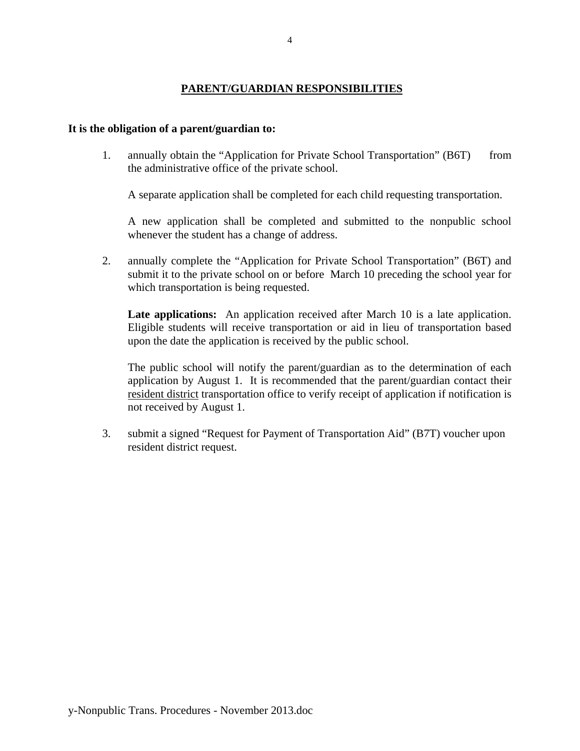## **PARENT/GUARDIAN RESPONSIBILITIES**

### **It is the obligation of a parent/guardian to:**

1. annually obtain the "Application for Private School Transportation" (B6T) from the administrative office of the private school.

A separate application shall be completed for each child requesting transportation.

 A new application shall be completed and submitted to the nonpublic school whenever the student has a change of address.

2. annually complete the "Application for Private School Transportation" (B6T) and submit it to the private school on or before March 10 preceding the school year for which transportation is being requested.

 **Late applications:** An application received after March 10 is a late application. Eligible students will receive transportation or aid in lieu of transportation based upon the date the application is received by the public school.

 The public school will notify the parent/guardian as to the determination of each application by August 1. It is recommended that the parent/guardian contact their resident district transportation office to verify receipt of application if notification is not received by August 1.

 3. submit a signed "Request for Payment of Transportation Aid" (B7T) voucher upon resident district request.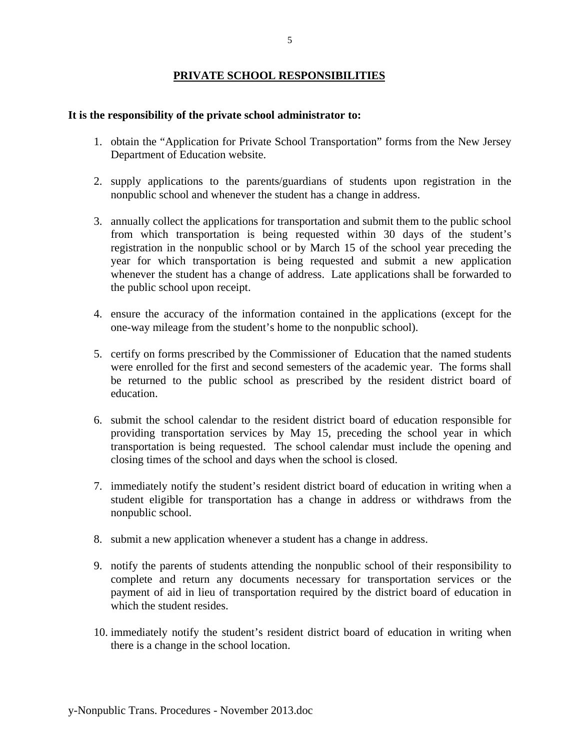### **PRIVATE SCHOOL RESPONSIBILITIES**

### **It is the responsibility of the private school administrator to:**

- 1. obtain the "Application for Private School Transportation" forms from the New Jersey Department of Education website.
- 2. supply applications to the parents/guardians of students upon registration in the nonpublic school and whenever the student has a change in address.
- 3. annually collect the applications for transportation and submit them to the public school from which transportation is being requested within 30 days of the student's registration in the nonpublic school or by March 15 of the school year preceding the year for which transportation is being requested and submit a new application whenever the student has a change of address. Late applications shall be forwarded to the public school upon receipt.
- 4. ensure the accuracy of the information contained in the applications (except for the one-way mileage from the student's home to the nonpublic school).
- 5. certify on forms prescribed by the Commissioner of Education that the named students were enrolled for the first and second semesters of the academic year. The forms shall be returned to the public school as prescribed by the resident district board of education.
- 6. submit the school calendar to the resident district board of education responsible for providing transportation services by May 15, preceding the school year in which transportation is being requested. The school calendar must include the opening and closing times of the school and days when the school is closed.
- 7. immediately notify the student's resident district board of education in writing when a student eligible for transportation has a change in address or withdraws from the nonpublic school.
- 8. submit a new application whenever a student has a change in address.
- 9. notify the parents of students attending the nonpublic school of their responsibility to complete and return any documents necessary for transportation services or the payment of aid in lieu of transportation required by the district board of education in which the student resides.
- 10. immediately notify the student's resident district board of education in writing when there is a change in the school location.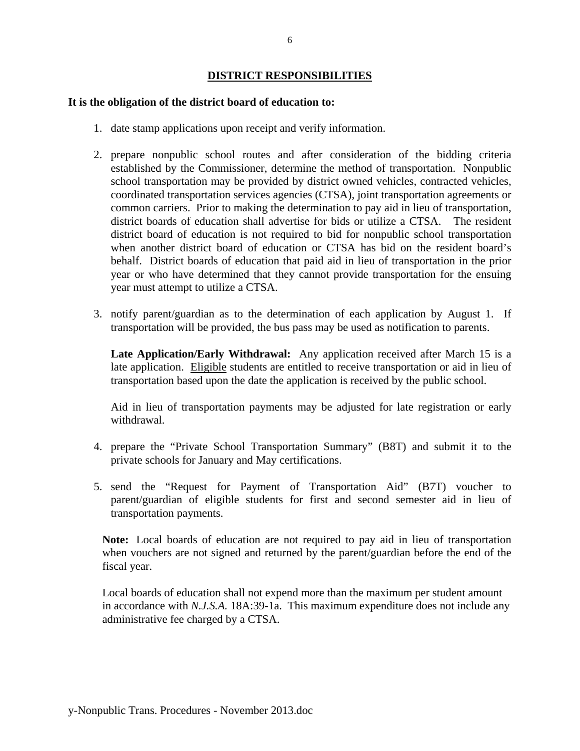### **DISTRICT RESPONSIBILITIES**

### **It is the obligation of the district board of education to:**

- 1. date stamp applications upon receipt and verify information.
- 2. prepare nonpublic school routes and after consideration of the bidding criteria established by the Commissioner, determine the method of transportation. Nonpublic school transportation may be provided by district owned vehicles, contracted vehicles, coordinated transportation services agencies (CTSA), joint transportation agreements or common carriers. Prior to making the determination to pay aid in lieu of transportation, district boards of education shall advertise for bids or utilize a CTSA. The resident district board of education is not required to bid for nonpublic school transportation when another district board of education or CTSA has bid on the resident board's behalf. District boards of education that paid aid in lieu of transportation in the prior year or who have determined that they cannot provide transportation for the ensuing year must attempt to utilize a CTSA.
- 3. notify parent/guardian as to the determination of each application by August 1. If transportation will be provided, the bus pass may be used as notification to parents.

**Late Application/Early Withdrawal:** Any application received after March 15 is a late application. Eligible students are entitled to receive transportation or aid in lieu of transportation based upon the date the application is received by the public school.

Aid in lieu of transportation payments may be adjusted for late registration or early withdrawal.

- 4. prepare the "Private School Transportation Summary" (B8T) and submit it to the private schools for January and May certifications.
- 5. send the "Request for Payment of Transportation Aid" (B7T) voucher to parent/guardian of eligible students for first and second semester aid in lieu of transportation payments.

**Note:** Local boards of education are not required to pay aid in lieu of transportation when vouchers are not signed and returned by the parent/guardian before the end of the fiscal year.

 Local boards of education shall not expend more than the maximum per student amount in accordance with *N.J.S.A.* 18A:39-1a. This maximum expenditure does not include any administrative fee charged by a CTSA.